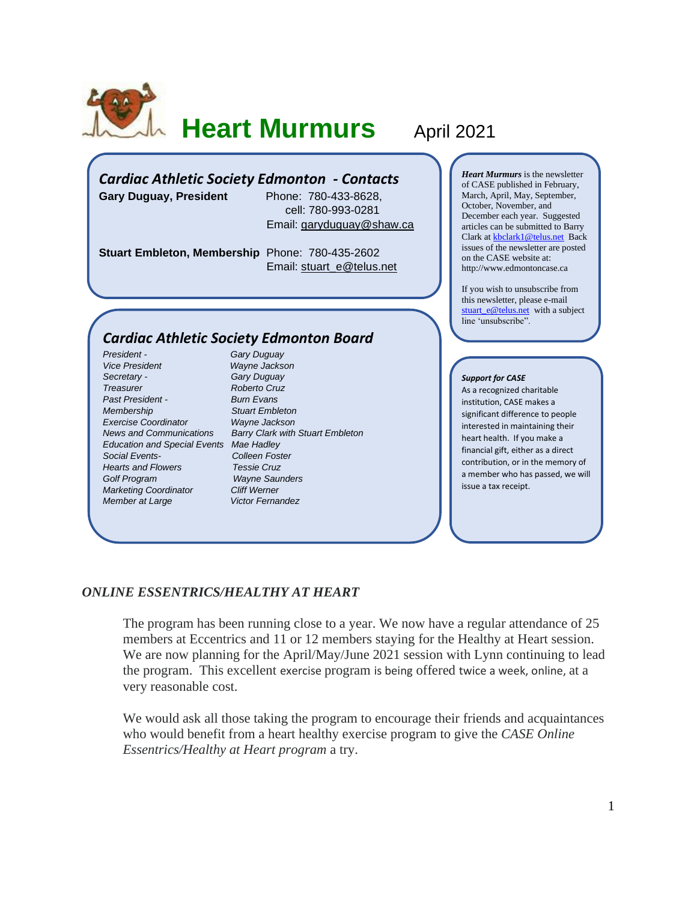

# **Heart Murmurs April 2021**

# *Cardiac Athletic Society Edmonton - Contacts*

**Gary Duguay, President** Phone: 780-433-8628, cell: 780-993-0281 Email: [garyduguay@shaw.ca](mailto:garyduguay@shaw.ca)

**Stuart Embleton, Membership** Phone: 780-435-2602 Email: [stuart\\_e@telus.net](mailto:stuart_e@telus.net)

# *Cardiac Athletic Society Edmonton Board*

*President - Gary Duguay Vice President Wayne Jackson Secretary - Gary Duguay Treasurer Roberto Cruz Past President - Burn Evans Membership Stuart Embleton Exercise Coordinator Wayne Jackson Education and Special Events Mae Hadley Social Events- Colleen Foster Hearts and Flowers Golf Program Wayne Saunders Marketing Coordinator Cliff Werner Member at Large* **Victor Fernandez** 

*News and Communications Barry Clark with Stuart Embleton*

*Heart Murmurs* is the newsletter of CASE published in February, March, April, May, September, October, November, and December each year. Suggested articles can be submitted to Barry Clark a[t kbclark1@telus.net](mailto:kbclark1@telus.net) Back issues of the newsletter are posted on the CASE website at: [http://www.edmontoncase.ca](http://www.edmontoncase.ca/)

If you wish to unsubscribe from this newsletter, please e-mail [stuart\\_e@telus.net](mailto:stuart_e@telus.net) with a subject line 'unsubscribe".

#### *Support for CASE*

As a recognized charitable institution, CASE makes a significant difference to people interested in maintaining their heart health. If you make a financial gift, either as a direct contribution, or in the memory of a member who has passed, we will issue a tax receipt.

### *ONLINE ESSENTRICS/HEALTHY AT HEART*

The program has been running close to a year. We now have a regular attendance of 25 members at Eccentrics and 11 or 12 members staying for the Healthy at Heart session. We are now planning for the April/May/June 2021 session with Lynn continuing to lead the program. This excellent exercise program is being offered twice a week, online, at a very reasonable cost.

We would ask all those taking the program to encourage their friends and acquaintances who would benefit from a heart healthy exercise program to give the *CASE Online Essentrics/Healthy at Heart program* a try.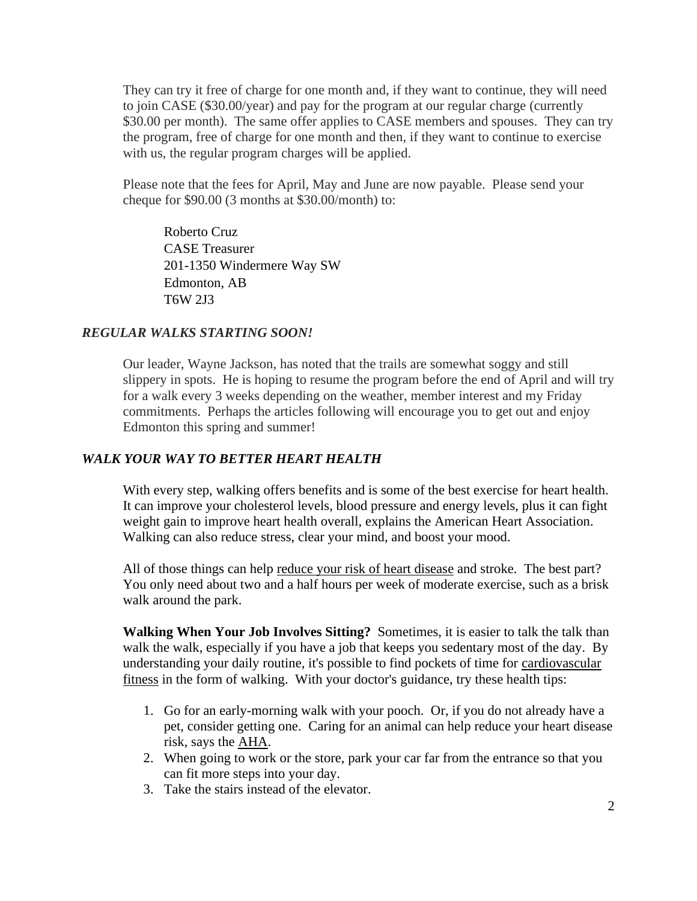They can try it free of charge for one month and, if they want to continue, they will need to join CASE (\$30.00/year) and pay for the program at our regular charge (currently \$30.00 per month). The same offer applies to CASE members and spouses. They can try the program, free of charge for one month and then, if they want to continue to exercise with us, the regular program charges will be applied.

Please note that the fees for April, May and June are now payable. Please send your cheque for \$90.00 (3 months at \$30.00/month) to:

Roberto Cruz CASE Treasurer 201-1350 Windermere Way SW Edmonton, AB T6W 2J3

## *REGULAR WALKS STARTING SOON!*

Our leader, Wayne Jackson, has noted that the trails are somewhat soggy and still slippery in spots. He is hoping to resume the program before the end of April and will try for a walk every 3 weeks depending on the weather, member interest and my Friday commitments. Perhaps the articles following will encourage you to get out and enjoy Edmonton this spring and summer!

### *WALK YOUR WAY TO BETTER HEART HEALTH*

With every step, walking offers benefits and is some of the best exercise for heart health. It can improve your cholesterol levels, blood pressure and energy levels, plus it can fight weight gain to improve heart health overall, explains the [American Heart Association.](http://www.heart.org/HEARTORG/HealthyLiving/PhysicalActivity/Walking/Walking-101_UCM_461766_Article.jsp#.Wi7FDrT81TY) Walking can also reduce stress, clear your mind, and boost your mood.

All of those things can help [reduce your risk of heart disease](https://www.abbott.com/corpnewsroom/healthy-heart/how-to-lower-your-risk-of-heart-disease.html) and stroke. The best part? You only need about two and a half hours per week of moderate exercise, such as a brisk walk around the park.

**Walking When Your Job Involves Sitting?** Sometimes, it is easier to talk the talk than walk the walk, especially if you have a job that keeps you sedentary most of the day. By understanding your daily routine, it's possible to find pockets of time for [cardiovascular](https://www.abbott.com/corpnewsroom/healthy-heart/cardiovascular-fitness--what-it-means-to-your-heart-health.html)  [fitness](https://www.abbott.com/corpnewsroom/healthy-heart/cardiovascular-fitness--what-it-means-to-your-heart-health.html) in the form of walking. With your doctor's guidance, try these health tips:

- 1. Go for an early-morning walk with your pooch. Or, if you do not already have a pet, consider getting one. Caring for an animal can help reduce your heart disease risk, says the [AHA.](http://www.heart.org/HEARTORG/HealthyLiving/Owning-a-Pet-May-Protect-You-from-Heart-Disease_UCM_453586_Article.jsp#.Wi7cdrT81TY)
- 2. When going to work or the store, park your car far from the entrance so that you can fit more steps into your day.
- 3. Take the stairs instead of the elevator.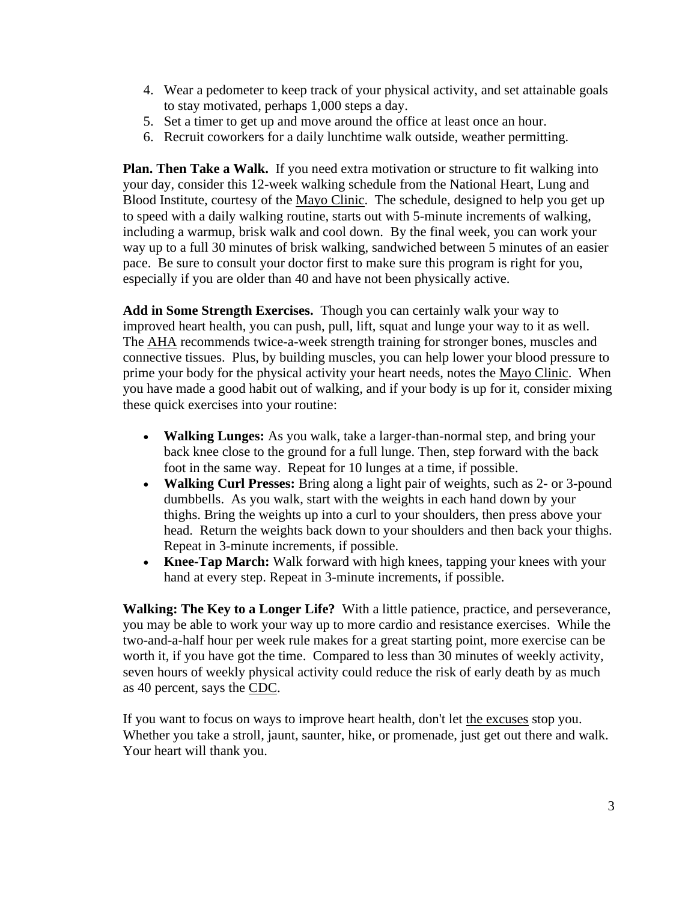- 4. Wear a pedometer to keep track of your physical activity, and set attainable goals to stay motivated, perhaps 1,000 steps a day.
- 5. Set a timer to get up and move around the office at least once an hour.
- 6. Recruit coworkers for a daily lunchtime walk outside, weather permitting.

**Plan. Then Take a Walk.** If you need extra motivation or structure to fit walking into your day, consider this 12-week walking schedule from the National Heart, Lung and Blood Institute, courtesy of the [Mayo Clinic.](https://www.mayoclinic.org/healthy-lifestyle/fitness/in-depth/walking/art-20050972) The schedule, designed to help you get up to speed with a daily walking routine, starts out with 5-minute increments of walking, including a warmup, brisk walk and cool down. By the final week, you can work your way up to a full 30 minutes of brisk walking, sandwiched between 5 minutes of an easier pace. Be sure to consult your doctor first to make sure this program is right for you, especially if you are older than 40 and have not been physically active.

**Add in Some Strength Exercises.** Though you can certainly walk your way to improved heart health, you can push, pull, lift, squat and lunge your way to it as well. The [AHA](http://www.heart.org/HEARTORG/HealthyLiving/PhysicalActivity/FitnessBasics/Strength-and-Resistance-Training-Exercise_UCM_462357_Article.jsp#.Wi7rGrT81TY) recommends twice-a-week strength training for stronger bones, muscles and connective tissues. Plus, by building muscles, you can help lower your blood pressure to prime your body for the physical activity your heart needs, notes the [Mayo Clinic.](https://www.mayoclinic.org/healthy-lifestyle/fitness/in-depth/the-real-secret-to-a-healthy-heart/art-20270834) When you have made a good habit out of walking, and if your body is up for it, consider mixing these quick exercises into your routine:

- **Walking Lunges:** As you walk, take a larger-than-normal step, and bring your back knee close to the ground for a full lunge. Then, step forward with the back foot in the same way. Repeat for 10 lunges at a time, if possible.
- **Walking Curl Presses:** Bring along a light pair of weights, such as 2- or 3-pound dumbbells. As you walk, start with the weights in each hand down by your thighs. Bring the weights up into a curl to your shoulders, then press above your head. Return the weights back down to your shoulders and then back your thighs. Repeat in 3-minute increments, if possible.
- **Knee-Tap March:** Walk forward with high knees, tapping your knees with your hand at every step. Repeat in 3-minute increments, if possible.

**Walking: The Key to a Longer Life?** With a little patience, practice, and perseverance, you may be able to work your way up to more cardio and resistance exercises. While the two-and-a-half hour per week rule makes for a great starting point, more exercise can be worth it, if you have got the time. Compared to less than 30 minutes of weekly activity, seven hours of weekly physical activity could reduce the risk of early death by as much as 40 percent, says the [CDC.](https://www.cdc.gov/physicalactivity/basics/pa-health/index.htm#increase)

If you want to focus on ways to improve heart health, don't let [the excuses](https://www.abbott.com/corpnewsroom/nutrition-health-and-wellness/tips-to-stay-fit-and-healthy-this-winter.html) stop you. Whether you take a stroll, jaunt, saunter, hike, or promenade, just get out there and walk. Your heart will thank you.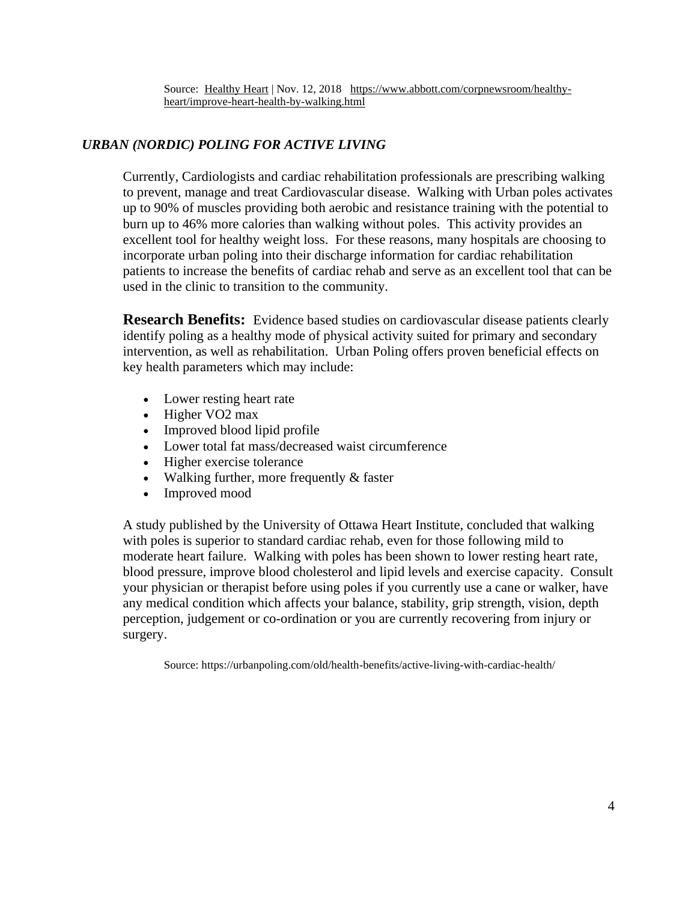Source: [Healthy Heart](https://www.abbott.com/corpnewsroom/healthy-heart.html) | Nov. 12, 2018 [https://www.abbott.com/corpnewsroom/healthy](https://www.abbott.com/corpnewsroom/healthy-heart/improve-heart-health-by-walking.html)[heart/improve-heart-health-by-walking.html](https://www.abbott.com/corpnewsroom/healthy-heart/improve-heart-health-by-walking.html)

# *URBAN (NORDIC) POLING FOR ACTIVE LIVING*

Currently, Cardiologists and cardiac rehabilitation professionals are prescribing walking to prevent, manage and treat Cardiovascular disease. Walking with Urban poles activates up to 90% of muscles providing both aerobic and resistance training with the potential to burn up to 46% more calories than walking without poles. This activity provides an excellent tool for healthy weight loss. For these reasons, many hospitals are choosing to incorporate urban poling into their discharge information for cardiac rehabilitation patients to increase the benefits of cardiac rehab and serve as an excellent tool that can be used in the clinic to transition to the community.

**Research Benefits:** Evidence based studies on cardiovascular disease patients clearly identify poling as a healthy mode of physical activity suited for primary and secondary intervention, as well as rehabilitation. Urban Poling offers proven beneficial effects on key health parameters which may include:

- Lower resting heart rate
- Higher VO<sub>2</sub> max
- Improved blood lipid profile
- Lower total fat mass/decreased waist circumference
- Higher exercise tolerance
- Walking further, more frequently & faster
- Improved mood

A study published by the University of Ottawa Heart Institute, concluded that walking with poles is superior to standard cardiac rehab, even for those following mild to moderate heart failure. Walking with poles has been shown to lower resting heart rate, blood pressure, improve blood cholesterol and lipid levels and exercise capacity. Consult your physician or therapist before using poles if you currently use a cane or walker, have any medical condition which affects your balance, stability, grip strength, vision, depth perception, judgement or co-ordination or you are currently recovering from injury or surgery.

Source: https://urbanpoling.com/old/health-benefits/active-living-with-cardiac-health/